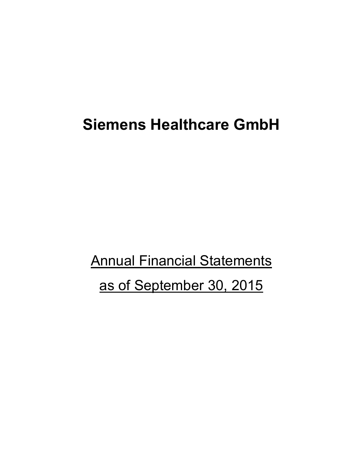## **Siemens Healthcare GmbH**

**Annual Financial Statements** as of September 30, 2015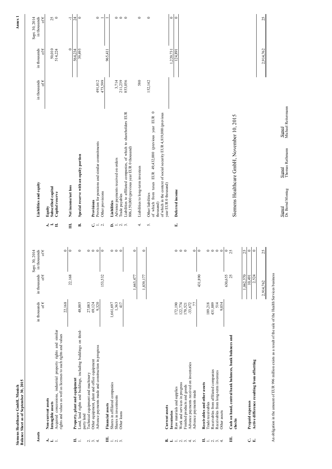|                                                                                           | Balance Sheet as of September 30, 2015<br>Siemens Healthcare GmbH, Munich                                                                                                      |                                                  |                                    |                                                    |                                          |                                                                                                                                                                                         |                               |                               | Annex <sub>1</sub>                         |
|-------------------------------------------------------------------------------------------|--------------------------------------------------------------------------------------------------------------------------------------------------------------------------------|--------------------------------------------------|------------------------------------|----------------------------------------------------|------------------------------------------|-----------------------------------------------------------------------------------------------------------------------------------------------------------------------------------------|-------------------------------|-------------------------------|--------------------------------------------|
| Assets                                                                                    |                                                                                                                                                                                | in thousands<br>of $\in$                         | in thousands<br>of $\in$           | 30, 2014<br>in thousands<br>of $\epsilon$<br>Sept. |                                          | Liabilities and equity                                                                                                                                                                  | in thousands<br>of $\epsilon$ | in thousands<br>of $\epsilon$ | in thousands<br>Sept. 30, 2014<br>of $\in$ |
|                                                                                           | Acquired concessions, industrial property rights and similar<br>rights and values as well as licenses to such rights and values<br>Non-current assets<br>Intangible assets     | 22,168                                           |                                    | $\circ$                                            | نہ ہے<br>Ħ                               | Subscribed capital<br>Capital reserve<br>Equity                                                                                                                                         |                               | 50,010<br>514,224             | $25\,$ 0                                   |
| Ħ<br>$\equiv$                                                                             | <b>Property, plant and equipment</b><br>Land, land rights and buildings, including buildings on third-                                                                         | 48,005                                           | 22,168                             | $\circ$<br>$\circ$                                 | Ë<br>ń                                   | Special reserve with an equity portion<br>Net income/net loss                                                                                                                           |                               | $\circ$<br>564,234<br>39,495  | 24<br>$\circ$<br>ᅮ                         |
| $2.5 + 4.5$                                                                               | Advance payments made and construction in progress<br>Other equipment, plant and office equipment<br>lechnical equipment and machinery<br>party land                           | 27,083<br>69,124<br>9,320                        | 153,532                            | $\circ$ $\circ$<br>$\circ$<br>$\circ$              | $C = \alpha$                             | Provision for pensions and similar commitments<br>Other provisions<br>Provisions                                                                                                        | 491,812<br>473,599            |                               | $\circ$                                    |
| $\blacksquare$ $\blacksquare$ $\blacksquare$ $\blacksquare$ $\blacksquare$ $\blacksquare$ | Shares in affiliated companies<br>Shares in investments<br><b>Financial</b> assets<br>Other loans                                                                              | 1,363<br>1,661,697<br>417                        |                                    | $\circ$<br>$\circ$                                 | 6.<br>$\frac{1}{2}$<br>$\alpha$ $\alpha$ | Liabilities to affiliated companies, of which to shareholders EUR<br>806,159,000 (previous year EUR 0 thousand)<br>Advance payments received on orders<br>Trade payables<br>Liabilities | 3,714<br>211,239<br>853,056   | 965,41                        | $\circ \circ \circ$                        |
|                                                                                           |                                                                                                                                                                                |                                                  | 1,663,477<br>1,839,177             | $\circ$<br>$\circ$                                 | 4.                                       | Liabilities to long-term investees                                                                                                                                                      | 580                           |                               | $\circ$                                    |
| ≃                                                                                         | Current assets                                                                                                                                                                 |                                                  |                                    |                                                    | 5.                                       | of which from taxes EUR 49,432,000 (previous year EUR 0<br>of which in the context of social security EUR 4,819,000 (previous<br>year EUR 0 thousand)<br>Other liabilities<br>thousand) | 152,142                       |                               | $\circ$                                    |
| $-1$ $\alpha$ $\alpha$ $+$ $\alpha$<br>$\equiv$                                           | Advance payments received on inventories<br>Work and services in progress<br>Finished products and goods<br>Raw materials and supplies<br>Advance payments made<br>Inventories | 122,774<br>170,521<br>172,190<br>$-33,672$<br>77 |                                    | $\circ$<br>$\circ \circ \circ$                     | E,                                       | Deferred income                                                                                                                                                                         |                               | 1,220,731<br>124,891          | $\circ$<br>$\circ$                         |
| $\blacksquare$ $ \lhd$ $\lhd$ $\lhd$ $\lhd$                                               | Receivables from affiliated companies<br>Receivables from long-term investees<br>Receivables and other assets<br>Trade receivables<br>Other assets                             | 514<br>189,218<br>431,889<br>9,034               | 431,890<br>630,655                 | $\circ \circ \circ \circ$<br>$\circ$               |                                          |                                                                                                                                                                                         |                               |                               |                                            |
| E<br>نا ن                                                                                 | Cash on hand, central bank balances, bank balances and<br>Active difference resulting from offsetting<br>Prepaid expenses<br>checks                                            |                                                  | 25<br>1,062,570<br>2,524<br>10,491 | $\frac{1}{25}$<br>25<br>$\circ$<br>$\circ$         |                                          | Siemens Healthcare GmbH, November 10, 2015                                                                                                                                              |                               |                               |                                            |
|                                                                                           | An obligation in the amount of EUR 996 million exists as a result of the sale of the Health Services business                                                                  |                                                  | 2,914,762                          | 25                                                 |                                          |                                                                                                                                                                                         |                               | 2,914,762                     | 25                                         |
|                                                                                           |                                                                                                                                                                                |                                                  |                                    |                                                    |                                          | Signed<br>Michael Reitermann<br>Thomas Rathmann<br>Signed<br>Dr. Bernd Montag<br>Signed                                                                                                 |                               |                               |                                            |